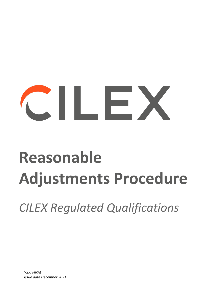# $\frac{1}{2}$

# **Reasonable Adjustments Procedure**

*CILEX Regulated Qualifications* 

*V2.0 FINAL Issue date December 2021*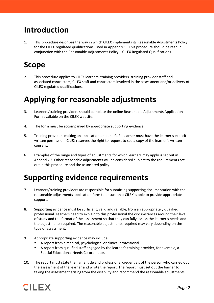# **Introduction**

1. This procedure describes the way in which CILEX implements its Reasonable Adjustments Policy for the CILEX regulated qualifications listed in Appendix 1. This procedure should be read in conjunction with the Reasonable Adjustments Policy – CILEX Regulated Qualifications.

# **Scope**

2. This procedure applies to CILEX learners, training providers, training provider staff and associated contractors, CILEX staff and contractors involved in the assessment and/or delivery of CILEX regulated qualifications.

# **Applying for reasonable adjustments**

- 3. Learners/training providers should complete the online Reasonable Adjustments Application Form available on the CILEX website.
- 4. The form must be accompanied by appropriate supporting evidence.
- 5. Training providers making an application on behalf of a learner must have the learner's explicit written permission. CILEX reserves the right to request to see a copy of the learner's written consent.
- 6. Examples of the range and types of adjustments for which learners may apply is set out in Appendix 2. Other reasonable adjustments will be considered subject to the requirements set out in this procedure and the associated policy.

# **Supporting evidence requirements**

- 7. Learners/training providers are responsible for submitting supporting documentation with the reasonable adjustments application form to ensure that CILEX is able to provide appropriate support.
- 8. Supporting evidence must be sufficient, valid and reliable, from an appropriately qualified professional. Learners need to explain to this professional the circumstances around their level of study and the format of the assessment so that they can fully assess the learner's needs and the adjustments required. The reasonable adjustments required may vary depending on the type of assessment.
- 9. Appropriate supporting evidence may include:
	- A report from a medical, psychological or clinical professional.
	- A report from qualified staff engaged by the learner's training provider, for example, a Special Educational Needs Co-ordinator.
- 10. The report must state the name, title and professional credentials of the person who carried out the assessment of the learner and wrote the report. The report must set out the barrier to taking the assessment arising from the disability and recommend the reasonable adjustments

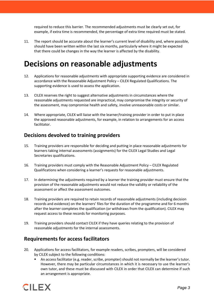required to reduce this barrier. The recommended adjustments must be clearly set out, for example, if extra time is recommended, the percentage of extra time required must be stated.

11. The report should be accurate about the learner's current level of disability and, where possible, should have been written within the last six months, particularly where it might be expected that there could be changes in the way the learner is affected by the disability.

# **Decisions on reasonable adjustments**

- 12. Applications for reasonable adjustments with appropriate supporting evidence are considered in accordance with the Reasonable Adjustment Policy – CILEX Regulated Qualifications. The supporting evidence is used to assess the application.
- 13. CILEX reserves the right to suggest alternative adjustments in circumstances where the reasonable adjustments requested are impractical, may compromise the integrity or security of the assessment, may compromise health and safety, involve unreasonable costs or similar.
- 14. Where appropriate, CILEX will liaise with the learner/training provider in order to put in place the approved reasonable adjustments, for example, in relation to arrangements for an access facilitator.

### **Decisions devolved to training providers**

- 15. Training providers are responsible for deciding and putting in place reasonable adjustments for learners taking internal assessments (assignments) for the CILEX Legal Studies and Legal Secretaries qualifications.
- 16. Training providers must comply with the Reasonable Adjustment Policy CILEX Regulated Qualifications when considering a learner's requests for reasonable adjustments.
- 17. In determining the adjustments required by a learner the training provider must ensure that the provision of the reasonable adjustments would not reduce the validity or reliability of the assessment or affect the assessment outcomes.
- 18. Training providers are required to retain records of reasonable adjustments (including decision records and evidence) on the learners' files for the duration of the programme and for 6 months after the learner completes the qualification (or withdraws from the qualification). CILEX may request access to these records for monitoring purposes.
- 19. Training providers should contact CILEX if they have queries relating to the provision of reasonable adjustments for the internal assessments.

# **Requirements for access facilitators**

- 20. Applications for access facilitators, for example readers, scribes, prompters, will be considered by CILEX subject to the following conditions:
	- An access facilitator (e.g. reader, scribe, prompter) should not normally be the learner'stutor. However, there may be particular circumstances in which it is necessary to use the learner's own tutor, and these must be discussed with CILEX in order that CILEX can determine if such an arrangement is appropriate.

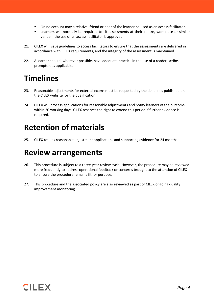- On no account may a relative, friend or peer of the learner be used as an access facilitator.
- Learners will normally be required to sit assessments at their centre, workplace or similar venue if the use of an access facilitator is approved.
- 21. CILEX will issue guidelines to access facilitators to ensure that the assessments are delivered in accordance with CILEX requirements, and the integrity of the assessment is maintained.
- 22. A learner should, wherever possible, have adequate practice in the use of a reader, scribe, prompter, as applicable.

# **Timelines**

- 23. Reasonable adjustments for external exams must be requested by the deadlines published on the CILEX website for the qualification.
- 24. CILEX will process applications for reasonable adjustments and notify learners of the outcome within 20 working days. CILEX reserves the right to extend this period if further evidence is required.

# **Retention of materials**

25. CILEX retains reasonable adjustment applications and supporting evidence for 24 months.

# **Review arrangements**

- 26. This procedure is subject to a three-year review cycle. However, the procedure may be reviewed more frequently to address operational feedback or concerns brought to the attention of CILEX to ensure the procedure remains fit for purpose.
- 27. This procedure and the associated policy are also reviewed as part of CILEX ongoing quality improvement monitoring.

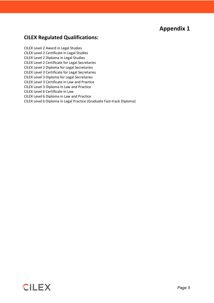# **Appendix 1**

## **CILEX Regulated Qualifications:**

CILEX Level 2 Award in Legal Studies CILEX Level 2 Certificate in Legal Studies CILEX Level 2 Diploma in Legal Studies CILEX Level 2 Certificate for Legal Secretaries CILEX Level 2 Diploma for Legal Secretaries CILEX Level 3 Certificate for Legal Secretaries CILEX Level 3 Diploma for Legal Secretaries CILEX Level 3 Certificate in Law and Practice CILEX Level 3 Diploma in Law and Practice CILEX Level 6 Certificate in Law CILEX Level 6 Diploma in Law and Practice CILEX Level 6 Diploma in Legal Practice (Graduate Fast-track Diploma)